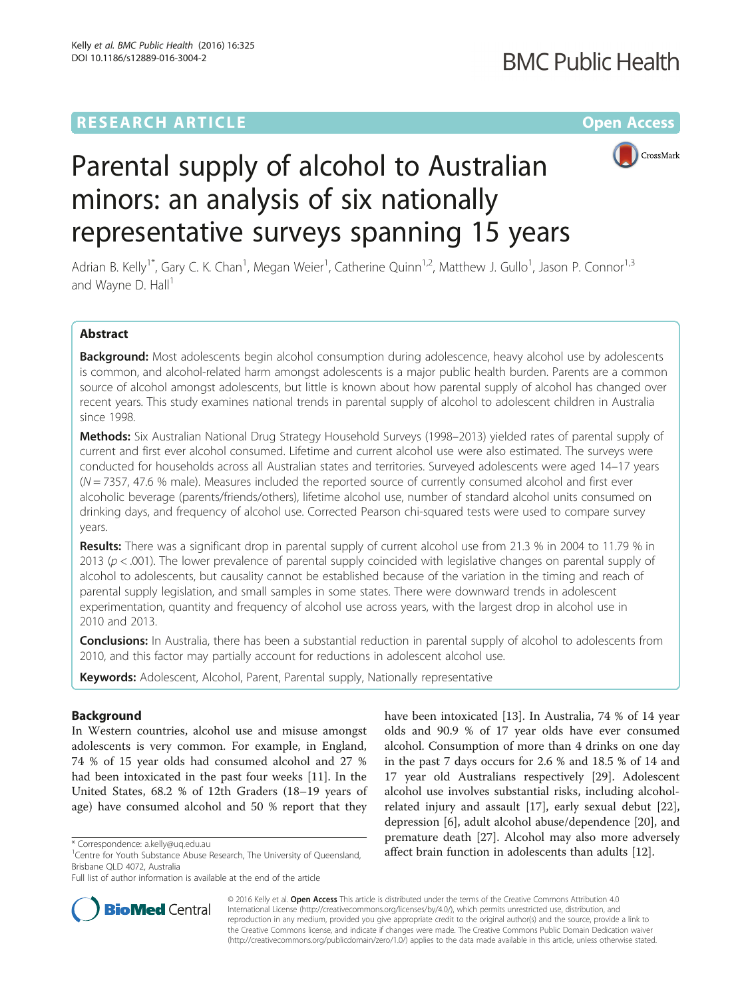## **RESEARCH ARTICLE External Structure Community Community Community Community Community Community Community Community**



# Parental supply of alcohol to Australian minors: an analysis of six nationally representative surveys spanning 15 years

Adrian B. Kelly<sup>1\*</sup>, Gary C. K. Chan<sup>1</sup>, Megan Weier<sup>1</sup>, Catherine Quinn<sup>1,2</sup>, Matthew J. Gullo<sup>1</sup>, Jason P. Connor<sup>1,3</sup> and Wayne D. Hall $<sup>1</sup>$ </sup>

### Abstract

Background: Most adolescents begin alcohol consumption during adolescence, heavy alcohol use by adolescents is common, and alcohol-related harm amongst adolescents is a major public health burden. Parents are a common source of alcohol amongst adolescents, but little is known about how parental supply of alcohol has changed over recent years. This study examines national trends in parental supply of alcohol to adolescent children in Australia since 1998.

Methods: Six Australian National Drug Strategy Household Surveys (1998–2013) yielded rates of parental supply of current and first ever alcohol consumed. Lifetime and current alcohol use were also estimated. The surveys were conducted for households across all Australian states and territories. Surveyed adolescents were aged 14–17 years  $(N = 7357, 47.6$  % male). Measures included the reported source of currently consumed alcohol and first ever alcoholic beverage (parents/friends/others), lifetime alcohol use, number of standard alcohol units consumed on drinking days, and frequency of alcohol use. Corrected Pearson chi-squared tests were used to compare survey years.

Results: There was a significant drop in parental supply of current alcohol use from 21.3 % in 2004 to 11.79 % in 2013 (p < .001). The lower prevalence of parental supply coincided with legislative changes on parental supply of alcohol to adolescents, but causality cannot be established because of the variation in the timing and reach of parental supply legislation, and small samples in some states. There were downward trends in adolescent experimentation, quantity and frequency of alcohol use across years, with the largest drop in alcohol use in 2010 and 2013.

**Conclusions:** In Australia, there has been a substantial reduction in parental supply of alcohol to adolescents from 2010, and this factor may partially account for reductions in adolescent alcohol use.

Keywords: Adolescent, Alcohol, Parent, Parental supply, Nationally representative

### Background

In Western countries, alcohol use and misuse amongst adolescents is very common. For example, in England, 74 % of 15 year olds had consumed alcohol and 27 % had been intoxicated in the past four weeks [[11\]](#page-7-0). In the United States, 68.2 % of 12th Graders (18–19 years of age) have consumed alcohol and 50 % report that they

have been intoxicated [[13\]](#page-7-0). In Australia, 74 % of 14 year olds and 90.9 % of 17 year olds have ever consumed alcohol. Consumption of more than 4 drinks on one day in the past 7 days occurs for 2.6 % and 18.5 % of 14 and 17 year old Australians respectively [[29\]](#page-7-0). Adolescent alcohol use involves substantial risks, including alcoholrelated injury and assault [[17](#page-7-0)], early sexual debut [\[22](#page-7-0)], depression [[6](#page-7-0)], adult alcohol abuse/dependence [\[20](#page-7-0)], and premature death [[27](#page-7-0)]. Alcohol may also more adversely \* Correspondence: [a.kelly@uq.edu.au](mailto:a.kelly@uq.edu.au)<br><sup>1</sup>Centre for Youth Substance Abuse Research. The University of Queensland. **affect brain function in adolescents than adults** [[12](#page-7-0)].



© 2016 Kelly et al. Open Access This article is distributed under the terms of the Creative Commons Attribution 4.0 International License [\(http://creativecommons.org/licenses/by/4.0/](http://creativecommons.org/licenses/by/4.0/)), which permits unrestricted use, distribution, and reproduction in any medium, provided you give appropriate credit to the original author(s) and the source, provide a link to the Creative Commons license, and indicate if changes were made. The Creative Commons Public Domain Dedication waiver [\(http://creativecommons.org/publicdomain/zero/1.0/](http://creativecommons.org/publicdomain/zero/1.0/)) applies to the data made available in this article, unless otherwise stated.

<sup>&</sup>lt;sup>1</sup> Centre for Youth Substance Abuse Research, The University of Queensland, Brisbane QLD 4072, Australia

Full list of author information is available at the end of the article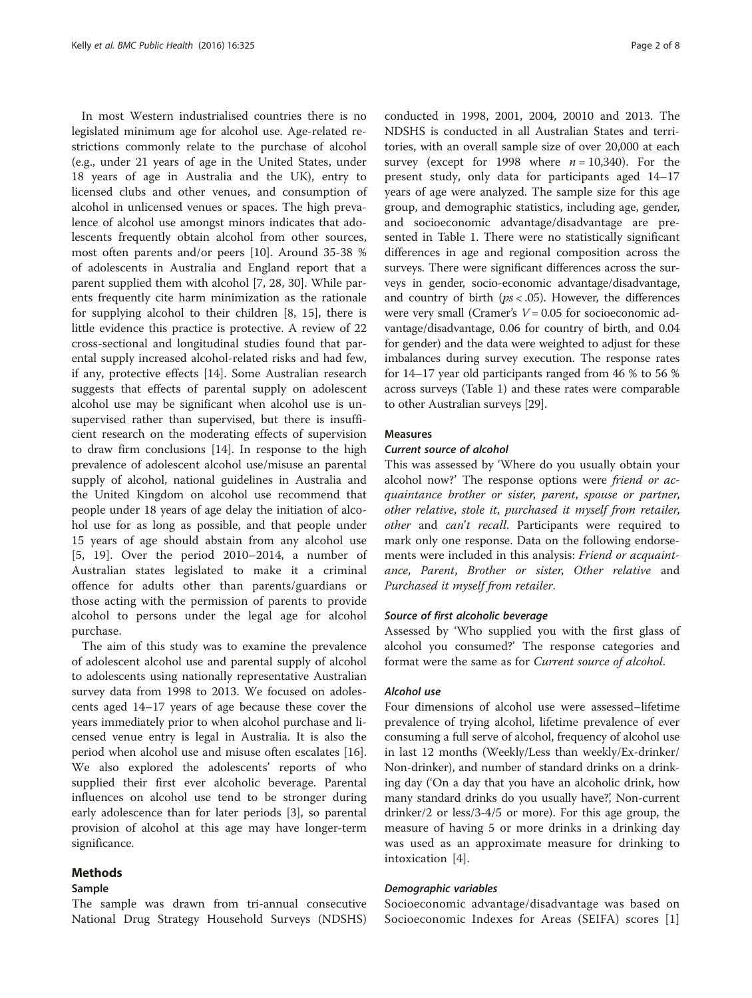In most Western industrialised countries there is no legislated minimum age for alcohol use. Age-related restrictions commonly relate to the purchase of alcohol (e.g., under 21 years of age in the United States, under 18 years of age in Australia and the UK), entry to licensed clubs and other venues, and consumption of alcohol in unlicensed venues or spaces. The high prevalence of alcohol use amongst minors indicates that adolescents frequently obtain alcohol from other sources, most often parents and/or peers [\[10\]](#page-7-0). Around 35-38 % of adolescents in Australia and England report that a parent supplied them with alcohol [\[7](#page-7-0), [28](#page-7-0), [30](#page-7-0)]. While parents frequently cite harm minimization as the rationale for supplying alcohol to their children [[8, 15](#page-7-0)], there is little evidence this practice is protective. A review of 22 cross-sectional and longitudinal studies found that parental supply increased alcohol-related risks and had few, if any, protective effects [\[14](#page-7-0)]. Some Australian research suggests that effects of parental supply on adolescent alcohol use may be significant when alcohol use is unsupervised rather than supervised, but there is insufficient research on the moderating effects of supervision to draw firm conclusions [[14](#page-7-0)]. In response to the high prevalence of adolescent alcohol use/misuse an parental supply of alcohol, national guidelines in Australia and the United Kingdom on alcohol use recommend that people under 18 years of age delay the initiation of alcohol use for as long as possible, and that people under 15 years of age should abstain from any alcohol use [[5, 19\]](#page-7-0). Over the period 2010–2014, a number of Australian states legislated to make it a criminal offence for adults other than parents/guardians or those acting with the permission of parents to provide alcohol to persons under the legal age for alcohol purchase.

The aim of this study was to examine the prevalence of adolescent alcohol use and parental supply of alcohol to adolescents using nationally representative Australian survey data from 1998 to 2013. We focused on adolescents aged 14–17 years of age because these cover the years immediately prior to when alcohol purchase and licensed venue entry is legal in Australia. It is also the period when alcohol use and misuse often escalates [\[16](#page-7-0)]. We also explored the adolescents' reports of who supplied their first ever alcoholic beverage. Parental influences on alcohol use tend to be stronger during early adolescence than for later periods [\[3](#page-6-0)], so parental provision of alcohol at this age may have longer-term significance.

#### Methods

#### Sample

The sample was drawn from tri-annual consecutive National Drug Strategy Household Surveys (NDSHS)

conducted in 1998, 2001, 2004, 20010 and 2013. The NDSHS is conducted in all Australian States and territories, with an overall sample size of over 20,000 at each survey (except for 1998 where  $n = 10,340$ ). For the present study, only data for participants aged 14–17 years of age were analyzed. The sample size for this age group, and demographic statistics, including age, gender, and socioeconomic advantage/disadvantage are presented in Table [1](#page-2-0). There were no statistically significant differences in age and regional composition across the surveys. There were significant differences across the surveys in gender, socio-economic advantage/disadvantage, and country of birth ( $ps < .05$ ). However, the differences were very small (Cramer's  $V = 0.05$  for socioeconomic advantage/disadvantage, 0.06 for country of birth, and 0.04 for gender) and the data were weighted to adjust for these imbalances during survey execution. The response rates for 14–17 year old participants ranged from 46 % to 56 % across surveys (Table [1\)](#page-2-0) and these rates were comparable to other Australian surveys [[29](#page-7-0)].

#### Measures

This was assessed by 'Where do you usually obtain your alcohol now?' The response options were friend or acquaintance brother or sister, parent, spouse or partner, other relative, stole it, purchased it myself from retailer, other and can't recall. Participants were required to mark only one response. Data on the following endorsements were included in this analysis: Friend or acquaintance, Parent, Brother or sister, Other relative and Purchased it myself from retailer.

Assessed by 'Who supplied you with the first glass of alcohol you consumed?' The response categories and format were the same as for Current source of alcohol.

#### Alcohol use

Four dimensions of alcohol use were assessed-lifetime prevalence of trying alcohol, lifetime prevalence of ever consuming a full serve of alcohol, frequency of alcohol use in last 12 months (Weekly/Less than weekly/Ex-drinker/ Non-drinker), and number of standard drinks on a drinking day ('On a day that you have an alcoholic drink, how many standard drinks do you usually have?', Non-current drinker/2 or less/3-4/5 or more). For this age group, the measure of having 5 or more drinks in a drinking day was used as an approximate measure for drinking to intoxication [[4\]](#page-7-0).

Socioeconomic advantage/disadvantage was based on Socioeconomic Indexes for Areas (SEIFA) scores [\[1](#page-6-0)]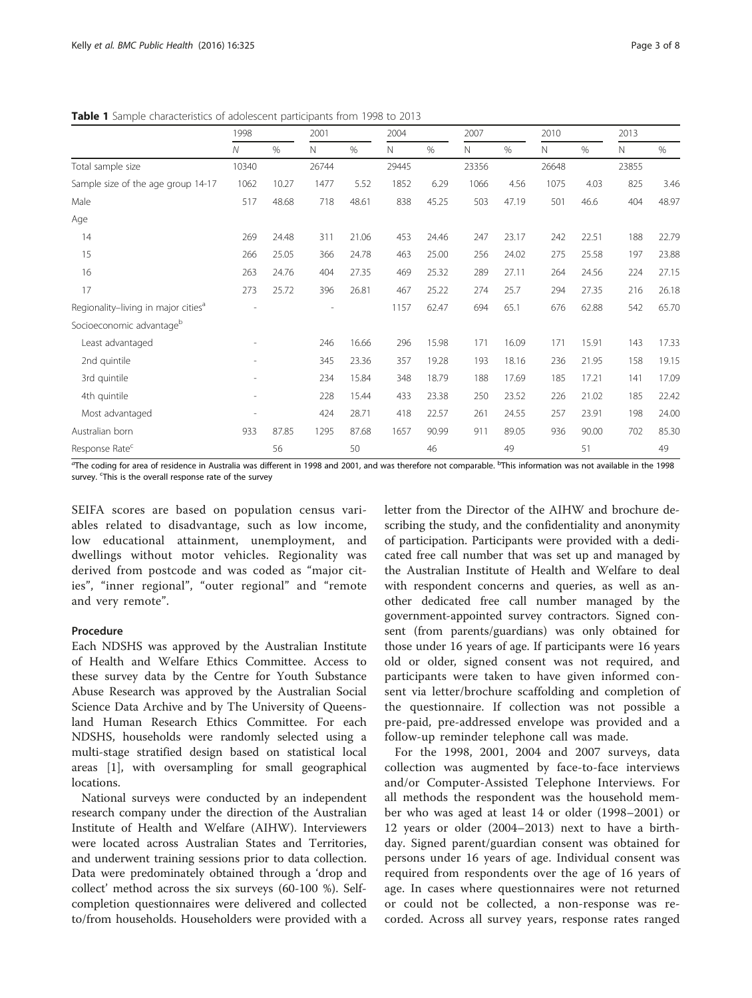<span id="page-2-0"></span>Table 1 Sample characteristics of adolescent participants from 1998 to 2013

|                                                 | 1998       |       | 2001  |       | 2004        |       | 2007  |       | 2010  |       | 2013  |       |
|-------------------------------------------------|------------|-------|-------|-------|-------------|-------|-------|-------|-------|-------|-------|-------|
|                                                 | ${\cal N}$ | $\%$  | N     | $\%$  | $\mathbb N$ | $\%$  | N     | %     | N     | %     | N     | $\%$  |
| Total sample size                               | 10340      |       | 26744 |       | 29445       |       | 23356 |       | 26648 |       | 23855 |       |
| Sample size of the age group 14-17              | 1062       | 10.27 | 1477  | 5.52  | 1852        | 6.29  | 1066  | 4.56  | 1075  | 4.03  | 825   | 3.46  |
| Male                                            | 517        | 48.68 | 718   | 48.61 | 838         | 45.25 | 503   | 47.19 | 501   | 46.6  | 404   | 48.97 |
| Age                                             |            |       |       |       |             |       |       |       |       |       |       |       |
| 14                                              | 269        | 24.48 | 311   | 21.06 | 453         | 24.46 | 247   | 23.17 | 242   | 22.51 | 188   | 22.79 |
| 15                                              | 266        | 25.05 | 366   | 24.78 | 463         | 25.00 | 256   | 24.02 | 275   | 25.58 | 197   | 23.88 |
| 16                                              | 263        | 24.76 | 404   | 27.35 | 469         | 25.32 | 289   | 27.11 | 264   | 24.56 | 224   | 27.15 |
| 17                                              | 273        | 25.72 | 396   | 26.81 | 467         | 25.22 | 274   | 25.7  | 294   | 27.35 | 216   | 26.18 |
| Regionality-living in major cities <sup>a</sup> |            |       |       |       | 1157        | 62.47 | 694   | 65.1  | 676   | 62.88 | 542   | 65.70 |
| Socioeconomic advantage <sup>b</sup>            |            |       |       |       |             |       |       |       |       |       |       |       |
| Least advantaged                                |            |       | 246   | 16.66 | 296         | 15.98 | 171   | 16.09 | 171   | 15.91 | 143   | 17.33 |
| 2nd quintile                                    |            |       | 345   | 23.36 | 357         | 19.28 | 193   | 18.16 | 236   | 21.95 | 158   | 19.15 |
| 3rd quintile                                    |            |       | 234   | 15.84 | 348         | 18.79 | 188   | 17.69 | 185   | 17.21 | 141   | 17.09 |
| 4th quintile                                    |            |       | 228   | 15.44 | 433         | 23.38 | 250   | 23.52 | 226   | 21.02 | 185   | 22.42 |
| Most advantaged                                 |            |       | 424   | 28.71 | 418         | 22.57 | 261   | 24.55 | 257   | 23.91 | 198   | 24.00 |
| Australian born                                 | 933        | 87.85 | 1295  | 87.68 | 1657        | 90.99 | 911   | 89.05 | 936   | 90.00 | 702   | 85.30 |
| Response Rate <sup>c</sup>                      |            | 56    |       | 50    |             | 46    |       | 49    |       | 51    |       | 49    |

<sup>a</sup>The coding for area of residence in Australia was different in 1998 and 2001, and was therefore not comparable. <sup>b</sup>This information was not available in the 1998 survey. <sup>c</sup>This is the overall response rate of the survey

SEIFA scores are based on population census variables related to disadvantage, such as low income, low educational attainment, unemployment, and dwellings without motor vehicles. Regionality was derived from postcode and was coded as "major cities", "inner regional", "outer regional" and "remote and very remote".

#### Procedure

Each NDSHS was approved by the Australian Institute of Health and Welfare Ethics Committee. Access to these survey data by the Centre for Youth Substance Abuse Research was approved by the Australian Social Science Data Archive and by The University of Queensland Human Research Ethics Committee. For each NDSHS, households were randomly selected using a multi-stage stratified design based on statistical local areas [[1\]](#page-6-0), with oversampling for small geographical locations.

National surveys were conducted by an independent research company under the direction of the Australian Institute of Health and Welfare (AIHW). Interviewers were located across Australian States and Territories, and underwent training sessions prior to data collection. Data were predominately obtained through a 'drop and collect' method across the six surveys (60-100 %). Selfcompletion questionnaires were delivered and collected to/from households. Householders were provided with a letter from the Director of the AIHW and brochure describing the study, and the confidentiality and anonymity of participation. Participants were provided with a dedicated free call number that was set up and managed by the Australian Institute of Health and Welfare to deal with respondent concerns and queries, as well as another dedicated free call number managed by the government-appointed survey contractors. Signed consent (from parents/guardians) was only obtained for those under 16 years of age. If participants were 16 years old or older, signed consent was not required, and participants were taken to have given informed consent via letter/brochure scaffolding and completion of the questionnaire. If collection was not possible a pre-paid, pre-addressed envelope was provided and a follow-up reminder telephone call was made.

For the 1998, 2001, 2004 and 2007 surveys, data collection was augmented by face-to-face interviews and/or Computer-Assisted Telephone Interviews. For all methods the respondent was the household member who was aged at least 14 or older (1998–2001) or 12 years or older (2004–2013) next to have a birthday. Signed parent/guardian consent was obtained for persons under 16 years of age. Individual consent was required from respondents over the age of 16 years of age. In cases where questionnaires were not returned or could not be collected, a non-response was recorded. Across all survey years, response rates ranged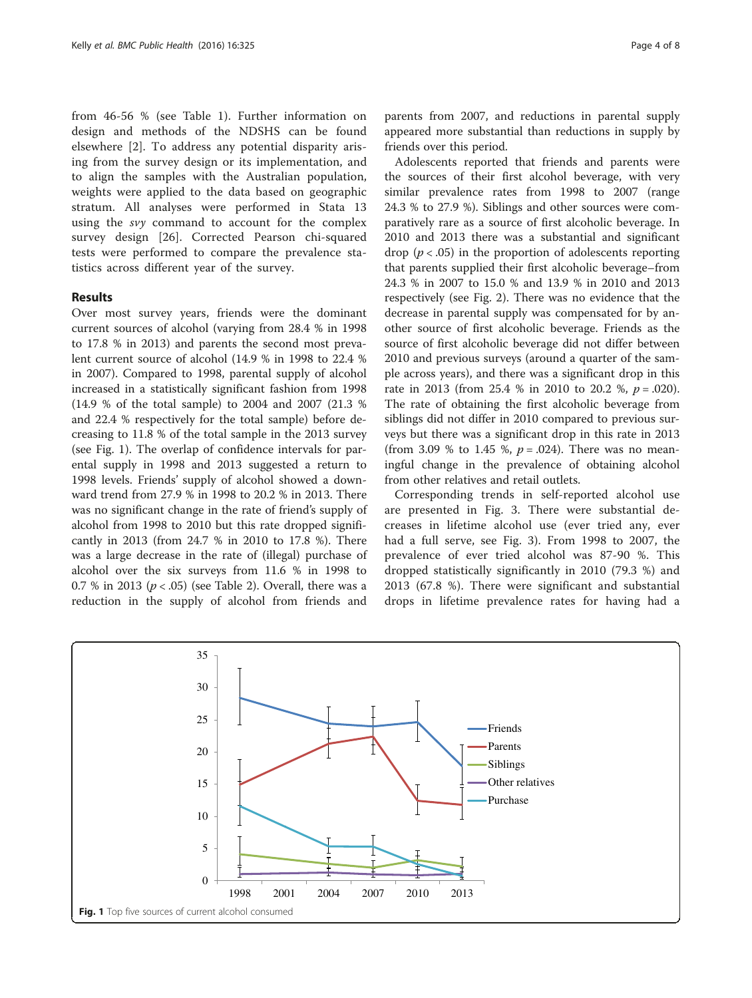from 46-56 % (see Table [1\)](#page-2-0). Further information on design and methods of the NDSHS can be found elsewhere [[2\]](#page-6-0). To address any potential disparity arising from the survey design or its implementation, and to align the samples with the Australian population, weights were applied to the data based on geographic stratum. All analyses were performed in Stata 13 using the svy command to account for the complex survey design [[26\]](#page-7-0). Corrected Pearson chi-squared tests were performed to compare the prevalence statistics across different year of the survey.

#### Results

Over most survey years, friends were the dominant current sources of alcohol (varying from 28.4 % in 1998 to 17.8 % in 2013) and parents the second most prevalent current source of alcohol (14.9 % in 1998 to 22.4 % in 2007). Compared to 1998, parental supply of alcohol increased in a statistically significant fashion from 1998 (14.9 % of the total sample) to 2004 and 2007 (21.3 % and 22.4 % respectively for the total sample) before decreasing to 11.8 % of the total sample in the 2013 survey (see Fig. 1). The overlap of confidence intervals for parental supply in 1998 and 2013 suggested a return to 1998 levels. Friends' supply of alcohol showed a downward trend from 27.9 % in 1998 to 20.2 % in 2013. There was no significant change in the rate of friend's supply of alcohol from 1998 to 2010 but this rate dropped significantly in 2013 (from 24.7 % in 2010 to 17.8 %). There was a large decrease in the rate of (illegal) purchase of alcohol over the six surveys from 11.6 % in 1998 to 0.7 % in 2013 ( $p < .05$ ) (see Table 2). Overall, there was a reduction in the supply of alcohol from friends and

parents from 2007, and reductions in parental supply appeared more substantial than reductions in supply by friends over this period.

Adolescents reported that friends and parents were the sources of their first alcohol beverage, with very similar prevalence rates from 1998 to 2007 (range 24.3 % to 27.9 %). Siblings and other sources were comparatively rare as a source of first alcoholic beverage. In 2010 and 2013 there was a substantial and significant drop ( $p < .05$ ) in the proportion of adolescents reporting that parents supplied their first alcoholic beverage–from 24.3 % in 2007 to 15.0 % and 13.9 % in 2010 and 2013 respectively (see Fig. [2\)](#page-4-0). There was no evidence that the decrease in parental supply was compensated for by another source of first alcoholic beverage. Friends as the source of first alcoholic beverage did not differ between 2010 and previous surveys (around a quarter of the sample across years), and there was a significant drop in this rate in 2013 (from 25.4 % in 2010 to 20.2 %,  $p = .020$ ). The rate of obtaining the first alcoholic beverage from siblings did not differ in 2010 compared to previous surveys but there was a significant drop in this rate in 2013 (from 3.09 % to 1.45 %,  $p = .024$ ). There was no meaningful change in the prevalence of obtaining alcohol from other relatives and retail outlets.

Corresponding trends in self-reported alcohol use are presented in Fig. [3.](#page-4-0) There were substantial decreases in lifetime alcohol use (ever tried any, ever had a full serve, see Fig. [3](#page-4-0)). From 1998 to 2007, the prevalence of ever tried alcohol was 87-90 %. This dropped statistically significantly in 2010 (79.3 %) and 2013 (67.8 %). There were significant and substantial drops in lifetime prevalence rates for having had a

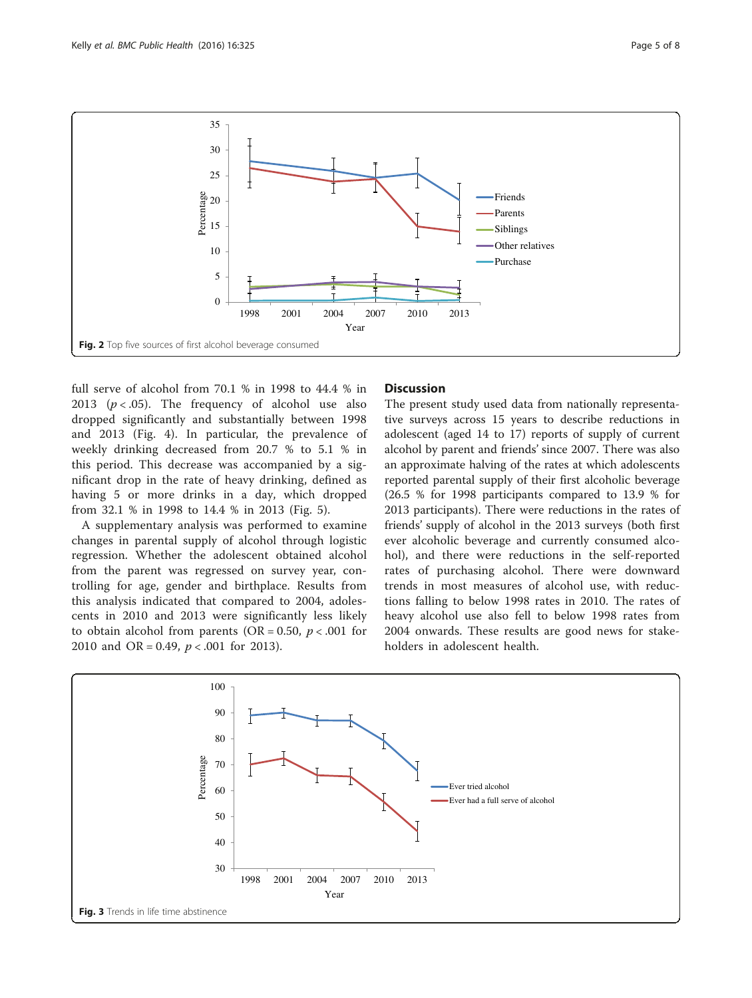<span id="page-4-0"></span>

full serve of alcohol from 70.1 % in 1998 to 44.4 % in 2013 ( $p < .05$ ). The frequency of alcohol use also dropped significantly and substantially between 1998 and 2013 (Fig. [4](#page-5-0)). In particular, the prevalence of weekly drinking decreased from 20.7 % to 5.1 % in this period. This decrease was accompanied by a significant drop in the rate of heavy drinking, defined as having 5 or more drinks in a day, which dropped from 32.1 % in 1998 to 14.4 % in 2013 (Fig. [5](#page-5-0)).

A supplementary analysis was performed to examine changes in parental supply of alcohol through logistic regression. Whether the adolescent obtained alcohol from the parent was regressed on survey year, controlling for age, gender and birthplace. Results from this analysis indicated that compared to 2004, adolescents in 2010 and 2013 were significantly less likely to obtain alcohol from parents (OR = 0.50,  $p < .001$  for 2010 and OR = 0.49,  $p < .001$  for 2013).

#### **Discussion**

The present study used data from nationally representative surveys across 15 years to describe reductions in adolescent (aged 14 to 17) reports of supply of current alcohol by parent and friends' since 2007. There was also an approximate halving of the rates at which adolescents reported parental supply of their first alcoholic beverage (26.5 % for 1998 participants compared to 13.9 % for 2013 participants). There were reductions in the rates of friends' supply of alcohol in the 2013 surveys (both first ever alcoholic beverage and currently consumed alcohol), and there were reductions in the self-reported rates of purchasing alcohol. There were downward trends in most measures of alcohol use, with reductions falling to below 1998 rates in 2010. The rates of heavy alcohol use also fell to below 1998 rates from 2004 onwards. These results are good news for stakeholders in adolescent health.

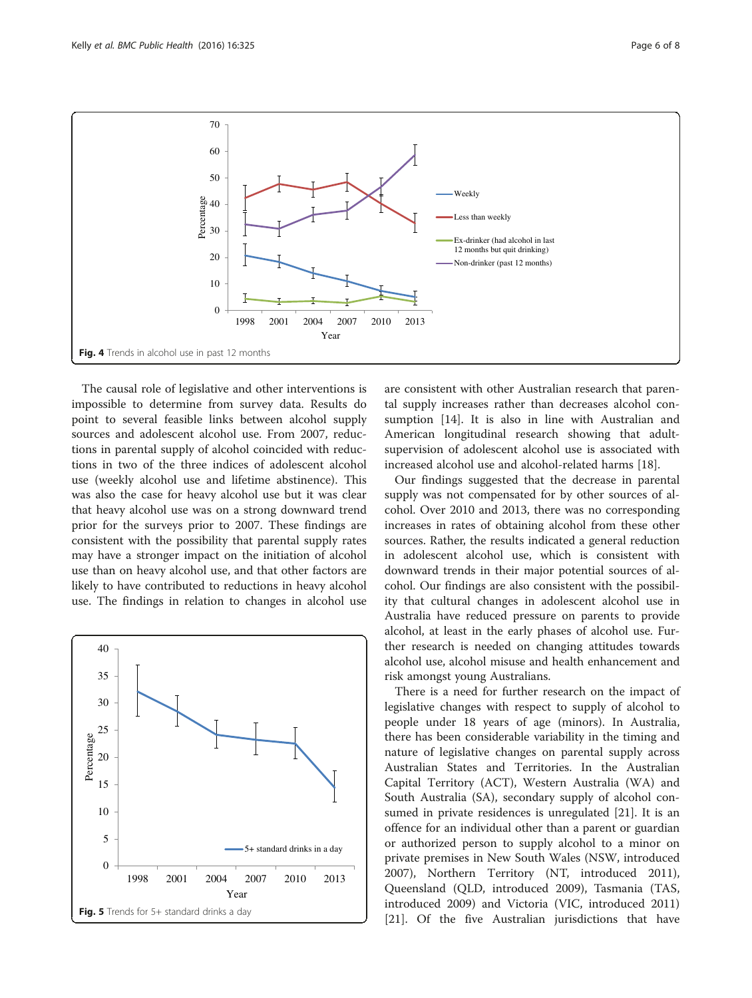<span id="page-5-0"></span>

The causal role of legislative and other interventions is impossible to determine from survey data. Results do point to several feasible links between alcohol supply sources and adolescent alcohol use. From 2007, reductions in parental supply of alcohol coincided with reductions in two of the three indices of adolescent alcohol use (weekly alcohol use and lifetime abstinence). This was also the case for heavy alcohol use but it was clear that heavy alcohol use was on a strong downward trend prior for the surveys prior to 2007. These findings are consistent with the possibility that parental supply rates may have a stronger impact on the initiation of alcohol use than on heavy alcohol use, and that other factors are likely to have contributed to reductions in heavy alcohol use. The findings in relation to changes in alcohol use



are consistent with other Australian research that parental supply increases rather than decreases alcohol consumption [\[14](#page-7-0)]. It is also in line with Australian and American longitudinal research showing that adultsupervision of adolescent alcohol use is associated with increased alcohol use and alcohol-related harms [\[18\]](#page-7-0).

Our findings suggested that the decrease in parental supply was not compensated for by other sources of alcohol. Over 2010 and 2013, there was no corresponding increases in rates of obtaining alcohol from these other sources. Rather, the results indicated a general reduction in adolescent alcohol use, which is consistent with downward trends in their major potential sources of alcohol. Our findings are also consistent with the possibility that cultural changes in adolescent alcohol use in Australia have reduced pressure on parents to provide alcohol, at least in the early phases of alcohol use. Further research is needed on changing attitudes towards alcohol use, alcohol misuse and health enhancement and risk amongst young Australians.

There is a need for further research on the impact of legislative changes with respect to supply of alcohol to people under 18 years of age (minors). In Australia, there has been considerable variability in the timing and nature of legislative changes on parental supply across Australian States and Territories. In the Australian Capital Territory (ACT), Western Australia (WA) and South Australia (SA), secondary supply of alcohol consumed in private residences is unregulated [[21\]](#page-7-0). It is an offence for an individual other than a parent or guardian or authorized person to supply alcohol to a minor on private premises in New South Wales (NSW, introduced 2007), Northern Territory (NT, introduced 2011), Queensland (QLD, introduced 2009), Tasmania (TAS, introduced 2009) and Victoria (VIC, introduced 2011) [[21\]](#page-7-0). Of the five Australian jurisdictions that have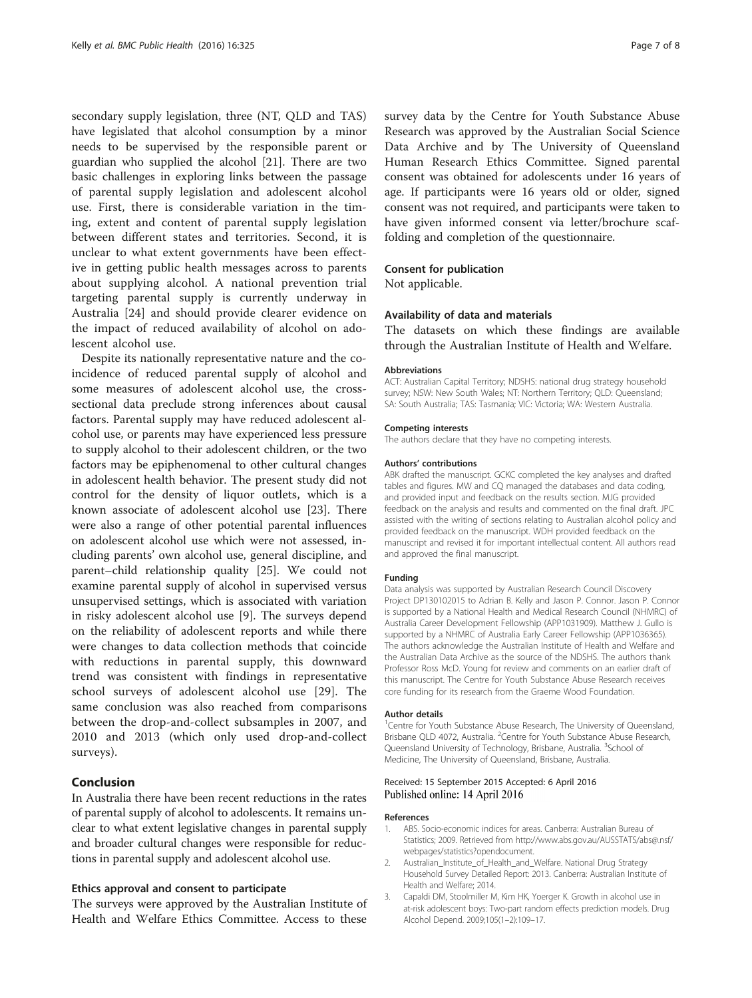<span id="page-6-0"></span>secondary supply legislation, three (NT, QLD and TAS) have legislated that alcohol consumption by a minor needs to be supervised by the responsible parent or guardian who supplied the alcohol [[21\]](#page-7-0). There are two basic challenges in exploring links between the passage of parental supply legislation and adolescent alcohol use. First, there is considerable variation in the timing, extent and content of parental supply legislation between different states and territories. Second, it is unclear to what extent governments have been effective in getting public health messages across to parents about supplying alcohol. A national prevention trial targeting parental supply is currently underway in Australia [[24\]](#page-7-0) and should provide clearer evidence on the impact of reduced availability of alcohol on adolescent alcohol use.

Despite its nationally representative nature and the coincidence of reduced parental supply of alcohol and some measures of adolescent alcohol use, the crosssectional data preclude strong inferences about causal factors. Parental supply may have reduced adolescent alcohol use, or parents may have experienced less pressure to supply alcohol to their adolescent children, or the two factors may be epiphenomenal to other cultural changes in adolescent health behavior. The present study did not control for the density of liquor outlets, which is a known associate of adolescent alcohol use [\[23](#page-7-0)]. There were also a range of other potential parental influences on adolescent alcohol use which were not assessed, including parents' own alcohol use, general discipline, and parent–child relationship quality [\[25](#page-7-0)]. We could not examine parental supply of alcohol in supervised versus unsupervised settings, which is associated with variation in risky adolescent alcohol use [\[9](#page-7-0)]. The surveys depend on the reliability of adolescent reports and while there were changes to data collection methods that coincide with reductions in parental supply, this downward trend was consistent with findings in representative school surveys of adolescent alcohol use [\[29](#page-7-0)]. The same conclusion was also reached from comparisons between the drop-and-collect subsamples in 2007, and 2010 and 2013 (which only used drop-and-collect surveys).

#### Conclusion

In Australia there have been recent reductions in the rates of parental supply of alcohol to adolescents. It remains unclear to what extent legislative changes in parental supply and broader cultural changes were responsible for reductions in parental supply and adolescent alcohol use.

#### Ethics approval and consent to participate

The surveys were approved by the Australian Institute of Health and Welfare Ethics Committee. Access to these

survey data by the Centre for Youth Substance Abuse Research was approved by the Australian Social Science Data Archive and by The University of Queensland Human Research Ethics Committee. Signed parental consent was obtained for adolescents under 16 years of age. If participants were 16 years old or older, signed consent was not required, and participants were taken to have given informed consent via letter/brochure scaffolding and completion of the questionnaire.

#### Consent for publication

Not applicable.

#### Availability of data and materials

The datasets on which these findings are available through the Australian Institute of Health and Welfare.

#### Abbreviations

ACT: Australian Capital Territory; NDSHS: national drug strategy household survey; NSW: New South Wales; NT: Northern Territory; QLD: Queensland; SA: South Australia; TAS: Tasmania; VIC: Victoria; WA: Western Australia.

#### Competing interests

The authors declare that they have no competing interests.

#### Authors' contributions

ABK drafted the manuscript. GCKC completed the key analyses and drafted tables and figures. MW and CQ managed the databases and data coding, and provided input and feedback on the results section. MJG provided feedback on the analysis and results and commented on the final draft. JPC assisted with the writing of sections relating to Australian alcohol policy and provided feedback on the manuscript. WDH provided feedback on the manuscript and revised it for important intellectual content. All authors read and approved the final manuscript.

#### Funding

Data analysis was supported by Australian Research Council Discovery Project DP130102015 to Adrian B. Kelly and Jason P. Connor. Jason P. Connor is supported by a National Health and Medical Research Council (NHMRC) of Australia Career Development Fellowship (APP1031909). Matthew J. Gullo is supported by a NHMRC of Australia Early Career Fellowship (APP1036365). The authors acknowledge the Australian Institute of Health and Welfare and the Australian Data Archive as the source of the NDSHS. The authors thank Professor Ross McD. Young for review and comments on an earlier draft of this manuscript. The Centre for Youth Substance Abuse Research receives core funding for its research from the Graeme Wood Foundation.

#### Author details

<sup>1</sup> Centre for Youth Substance Abuse Research, The University of Queensland Brisbane QLD 4072, Australia. <sup>2</sup> Centre for Youth Substance Abuse Research Queensland University of Technology, Brisbane, Australia. <sup>3</sup>School of Medicine, The University of Queensland, Brisbane, Australia.

#### Received: 15 September 2015 Accepted: 6 April 2016 Published online: 14 April 2016

#### References

- 1. ABS. Socio-economic indices for areas. Canberra: Australian Bureau of Statistics; 2009. Retrieved from [http://www.abs.gov.au/AUSSTATS/abs@.nsf/](http://www.abs.gov.au/AUSSTATS/abs@.nsf/webpages/statistics?opendocument) [webpages/statistics?opendocument](http://www.abs.gov.au/AUSSTATS/abs@.nsf/webpages/statistics?opendocument).
- 2. Australian\_Institute\_of\_Health\_and\_Welfare. National Drug Strategy Household Survey Detailed Report: 2013. Canberra: Australian Institute of Health and Welfare; 2014.
- 3. Capaldi DM, Stoolmiller M, Kim HK, Yoerger K. Growth in alcohol use in at-risk adolescent boys: Two-part random effects prediction models. Drug Alcohol Depend. 2009;105(1–2):109–17.